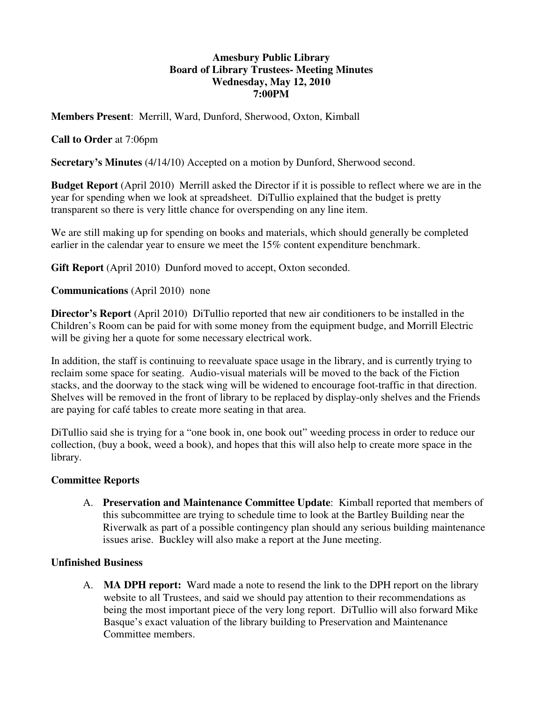### **Amesbury Public Library Board of Library Trustees- Meeting Minutes Wednesday, May 12, 2010 7:00PM**

**Members Present**: Merrill, Ward, Dunford, Sherwood, Oxton, Kimball

# **Call to Order** at 7:06pm

**Secretary's Minutes** (4/14/10) Accepted on a motion by Dunford, Sherwood second.

**Budget Report** (April 2010) Merrill asked the Director if it is possible to reflect where we are in the year for spending when we look at spreadsheet. DiTullio explained that the budget is pretty transparent so there is very little chance for overspending on any line item.

We are still making up for spending on books and materials, which should generally be completed earlier in the calendar year to ensure we meet the 15% content expenditure benchmark.

**Gift Report** (April 2010) Dunford moved to accept, Oxton seconded.

**Communications** (April 2010) none

**Director's Report** (April 2010) DiTullio reported that new air conditioners to be installed in the Children's Room can be paid for with some money from the equipment budge, and Morrill Electric will be giving her a quote for some necessary electrical work.

In addition, the staff is continuing to reevaluate space usage in the library, and is currently trying to reclaim some space for seating. Audio-visual materials will be moved to the back of the Fiction stacks, and the doorway to the stack wing will be widened to encourage foot-traffic in that direction. Shelves will be removed in the front of library to be replaced by display-only shelves and the Friends are paying for café tables to create more seating in that area.

DiTullio said she is trying for a "one book in, one book out" weeding process in order to reduce our collection, (buy a book, weed a book), and hopes that this will also help to create more space in the library.

### **Committee Reports**

A. **Preservation and Maintenance Committee Update**: Kimball reported that members of this subcommittee are trying to schedule time to look at the Bartley Building near the Riverwalk as part of a possible contingency plan should any serious building maintenance issues arise. Buckley will also make a report at the June meeting.

### **Unfinished Business**

A. **MA DPH report:** Ward made a note to resend the link to the DPH report on the library website to all Trustees, and said we should pay attention to their recommendations as being the most important piece of the very long report. DiTullio will also forward Mike Basque's exact valuation of the library building to Preservation and Maintenance Committee members.